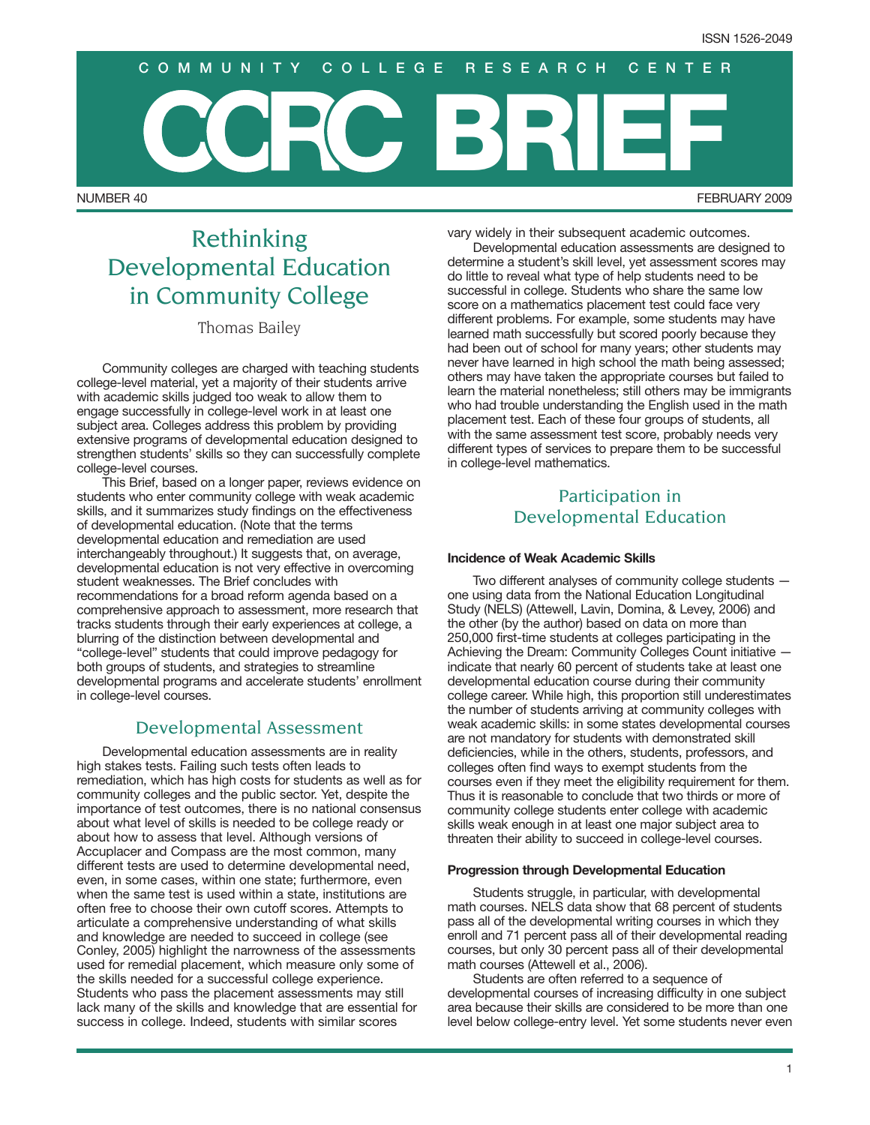# NUMBER 40 FEBRUARY 2009 **BRIEF COMMUNITY COLLEGE RESEARCH CENTER**

## Rethinking Developmental Education in Community College

Thomas Bailey

Community colleges are charged with teaching students college-level material, yet a majority of their students arrive with academic skills judged too weak to allow them to engage successfully in college-level work in at least one subject area. Colleges address this problem by providing extensive programs of developmental education designed to strengthen students' skills so they can successfully complete college-level courses.

This Brief, based on a longer paper, reviews evidence on students who enter community college with weak academic skills, and it summarizes study findings on the effectiveness of developmental education. (Note that the terms developmental education and remediation are used interchangeably throughout.) It suggests that, on average, developmental education is not very effective in overcoming student weaknesses. The Brief concludes with recommendations for a broad reform agenda based on a comprehensive approach to assessment, more research that tracks students through their early experiences at college, a blurring of the distinction between developmental and "college-level" students that could improve pedagogy for both groups of students, and strategies to streamline developmental programs and accelerate students' enrollment in college-level courses.

### Developmental Assessment

Developmental education assessments are in reality high stakes tests. Failing such tests often leads to remediation, which has high costs for students as well as for community colleges and the public sector. Yet, despite the importance of test outcomes, there is no national consensus about what level of skills is needed to be college ready or about how to assess that level. Although versions of Accuplacer and Compass are the most common, many different tests are used to determine developmental need, even, in some cases, within one state; furthermore, even when the same test is used within a state, institutions are often free to choose their own cutoff scores. Attempts to articulate a comprehensive understanding of what skills and knowledge are needed to succeed in college (see Conley, 2005) highlight the narrowness of the assessments used for remedial placement, which measure only some of the skills needed for a successful college experience. Students who pass the placement assessments may still lack many of the skills and knowledge that are essential for success in college. Indeed, students with similar scores

vary widely in their subsequent academic outcomes.

Developmental education assessments are designed to determine a student's skill level, yet assessment scores may do little to reveal what type of help students need to be successful in college. Students who share the same low score on a mathematics placement test could face very different problems. For example, some students may have learned math successfully but scored poorly because they had been out of school for many years; other students may never have learned in high school the math being assessed; others may have taken the appropriate courses but failed to learn the material nonetheless; still others may be immigrants who had trouble understanding the English used in the math placement test. Each of these four groups of students, all with the same assessment test score, probably needs very different types of services to prepare them to be successful in college-level mathematics.

## Participation in Developmental Education

#### **Incidence of Weak Academic Skills**

Two different analyses of community college students one using data from the National Education Longitudinal Study (NELS) (Attewell, Lavin, Domina, & Levey, 2006) and the other (by the author) based on data on more than 250,000 first-time students at colleges participating in the Achieving the Dream: Community Colleges Count initiative indicate that nearly 60 percent of students take at least one developmental education course during their community college career. While high, this proportion still underestimates the number of students arriving at community colleges with weak academic skills: in some states developmental courses are not mandatory for students with demonstrated skill deficiencies, while in the others, students, professors, and colleges often find ways to exempt students from the courses even if they meet the eligibility requirement for them. Thus it is reasonable to conclude that two thirds or more of community college students enter college with academic skills weak enough in at least one major subject area to threaten their ability to succeed in college-level courses.

#### **Progression through Developmental Education**

Students struggle, in particular, with developmental math courses. NELS data show that 68 percent of students pass all of the developmental writing courses in which they enroll and 71 percent pass all of their developmental reading courses, but only 30 percent pass all of their developmental math courses (Attewell et al., 2006).

Students are often referred to a sequence of developmental courses of increasing difficulty in one subject area because their skills are considered to be more than one level below college-entry level. Yet some students never even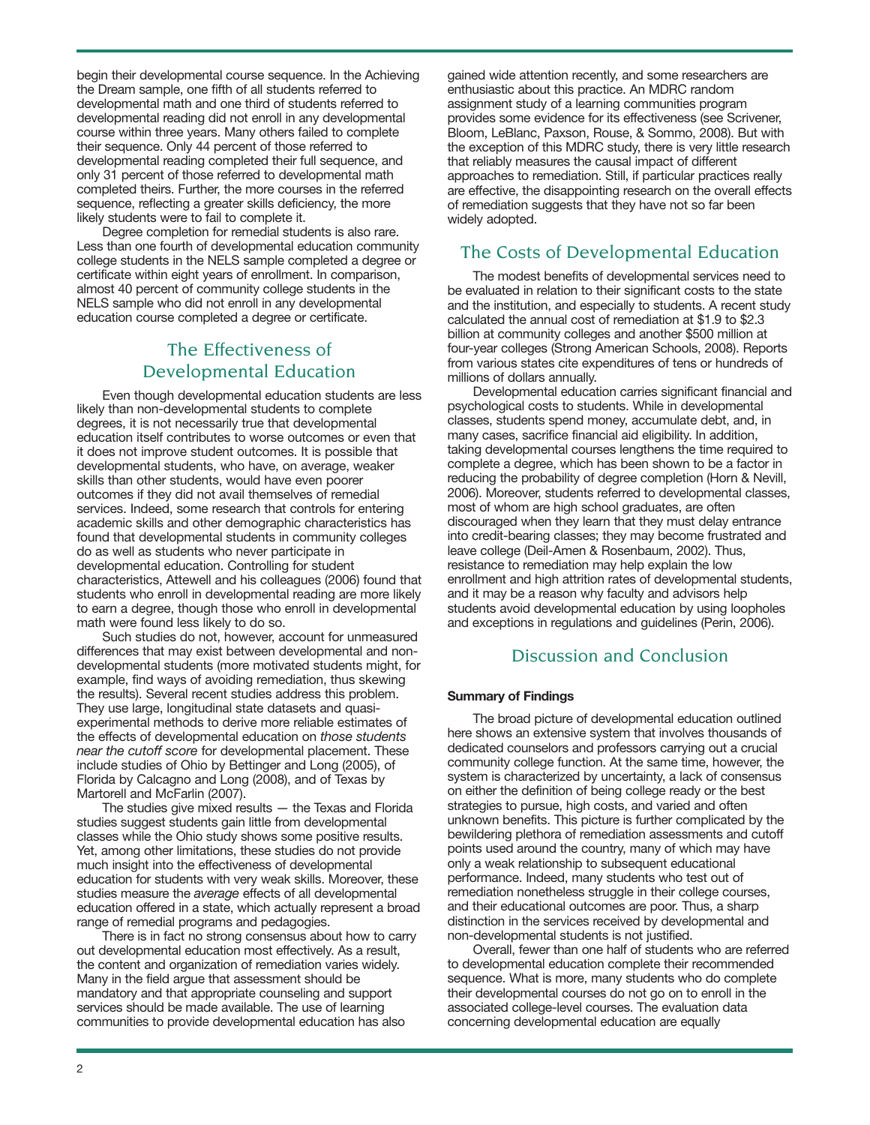begin their developmental course sequence. In the Achieving the Dream sample, one fifth of all students referred to developmental math and one third of students referred to developmental reading did not enroll in any developmental course within three years. Many others failed to complete their sequence. Only 44 percent of those referred to developmental reading completed their full sequence, and only 31 percent of those referred to developmental math completed theirs. Further, the more courses in the referred sequence, reflecting a greater skills deficiency, the more likely students were to fail to complete it.

Degree completion for remedial students is also rare. Less than one fourth of developmental education community college students in the NELS sample completed a degree or certificate within eight years of enrollment. In comparison, almost 40 percent of community college students in the NELS sample who did not enroll in any developmental education course completed a degree or certificate.

## The Effectiveness of Developmental Education

Even though developmental education students are less likely than non-developmental students to complete degrees, it is not necessarily true that developmental education itself contributes to worse outcomes or even that it does not improve student outcomes. It is possible that developmental students, who have, on average, weaker skills than other students, would have even poorer outcomes if they did not avail themselves of remedial services. Indeed, some research that controls for entering academic skills and other demographic characteristics has found that developmental students in community colleges do as well as students who never participate in developmental education. Controlling for student characteristics, Attewell and his colleagues (2006) found that students who enroll in developmental reading are more likely to earn a degree, though those who enroll in developmental math were found less likely to do so.

Such studies do not, however, account for unmeasured differences that may exist between developmental and nondevelopmental students (more motivated students might, for example, find ways of avoiding remediation, thus skewing the results). Several recent studies address this problem. They use large, longitudinal state datasets and quasiexperimental methods to derive more reliable estimates of the effects of developmental education on *those students near the cutoff score* for developmental placement. These include studies of Ohio by Bettinger and Long (2005), of Florida by Calcagno and Long (2008), and of Texas by Martorell and McFarlin (2007).

The studies give mixed results — the Texas and Florida studies suggest students gain little from developmental classes while the Ohio study shows some positive results. Yet, among other limitations, these studies do not provide much insight into the effectiveness of developmental education for students with very weak skills. Moreover, these studies measure the *average* effects of all developmental education offered in a state, which actually represent a broad range of remedial programs and pedagogies.

There is in fact no strong consensus about how to carry out developmental education most effectively. As a result, the content and organization of remediation varies widely. Many in the field argue that assessment should be mandatory and that appropriate counseling and support services should be made available. The use of learning communities to provide developmental education has also

gained wide attention recently, and some researchers are enthusiastic about this practice. An MDRC random assignment study of a learning communities program provides some evidence for its effectiveness (see Scrivener, Bloom, LeBlanc, Paxson, Rouse, & Sommo, 2008). But with the exception of this MDRC study, there is very little research that reliably measures the causal impact of different approaches to remediation. Still, if particular practices really are effective, the disappointing research on the overall effects of remediation suggests that they have not so far been widely adopted.

## The Costs of Developmental Education

The modest benefits of developmental services need to be evaluated in relation to their significant costs to the state and the institution, and especially to students. A recent study calculated the annual cost of remediation at \$1.9 to \$2.3 billion at community colleges and another \$500 million at four-year colleges (Strong American Schools, 2008). Reports from various states cite expenditures of tens or hundreds of millions of dollars annually.

Developmental education carries significant financial and psychological costs to students. While in developmental classes, students spend money, accumulate debt, and, in many cases, sacrifice financial aid eligibility. In addition, taking developmental courses lengthens the time required to complete a degree, which has been shown to be a factor in reducing the probability of degree completion (Horn & Nevill, 2006). Moreover, students referred to developmental classes, most of whom are high school graduates, are often discouraged when they learn that they must delay entrance into credit-bearing classes; they may become frustrated and leave college (Deil-Amen & Rosenbaum, 2002). Thus, resistance to remediation may help explain the low enrollment and high attrition rates of developmental students, and it may be a reason why faculty and advisors help students avoid developmental education by using loopholes and exceptions in regulations and guidelines (Perin, 2006).

## Discussion and Conclusion

#### **Summary of Findings**

The broad picture of developmental education outlined here shows an extensive system that involves thousands of dedicated counselors and professors carrying out a crucial community college function. At the same time, however, the system is characterized by uncertainty, a lack of consensus on either the definition of being college ready or the best strategies to pursue, high costs, and varied and often unknown benefits. This picture is further complicated by the bewildering plethora of remediation assessments and cutoff points used around the country, many of which may have only a weak relationship to subsequent educational performance. Indeed, many students who test out of remediation nonetheless struggle in their college courses, and their educational outcomes are poor. Thus, a sharp distinction in the services received by developmental and non-developmental students is not justified.

Overall, fewer than one half of students who are referred to developmental education complete their recommended sequence. What is more, many students who do complete their developmental courses do not go on to enroll in the associated college-level courses. The evaluation data concerning developmental education are equally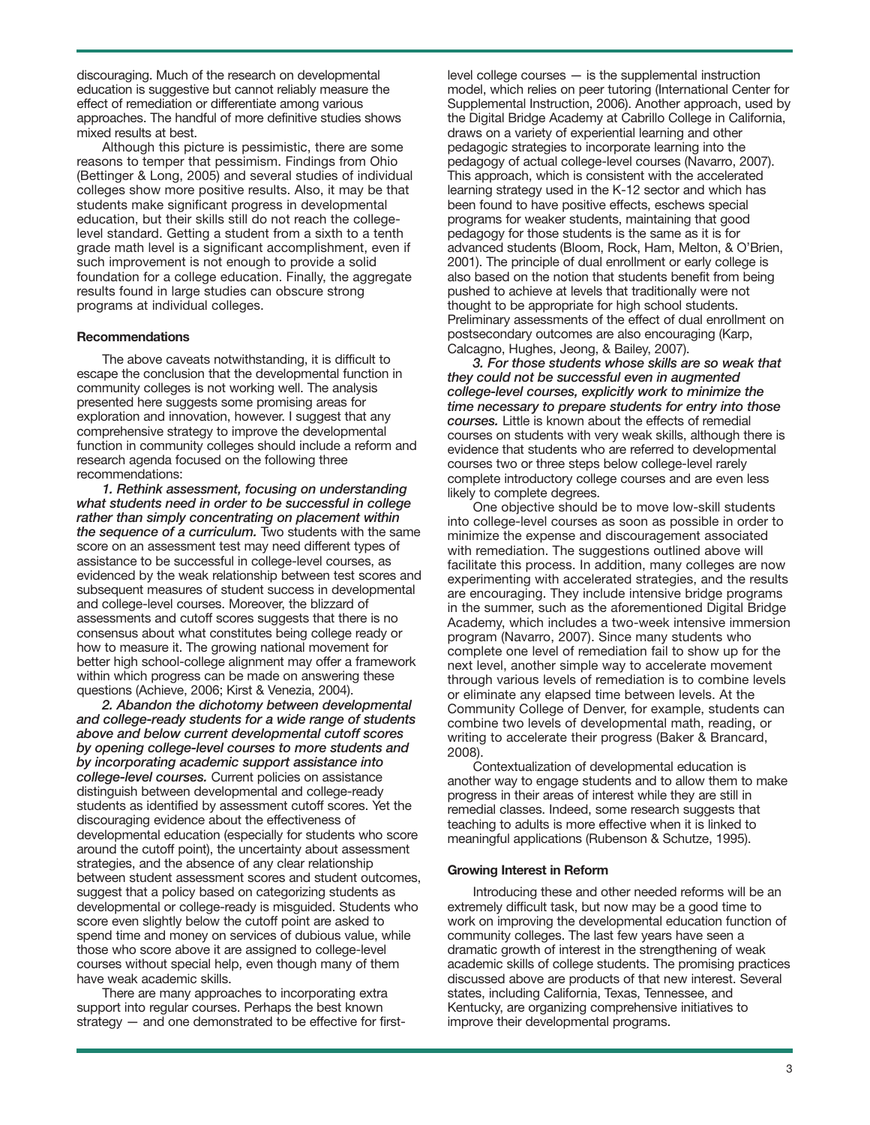discouraging. Much of the research on developmental education is suggestive but cannot reliably measure the effect of remediation or differentiate among various approaches. The handful of more definitive studies shows mixed results at best.

Although this picture is pessimistic, there are some reasons to temper that pessimism. Findings from Ohio (Bettinger & Long, 2005) and several studies of individual colleges show more positive results. Also, it may be that students make significant progress in developmental education, but their skills still do not reach the collegelevel standard. Getting a student from a sixth to a tenth grade math level is a significant accomplishment, even if such improvement is not enough to provide a solid foundation for a college education. Finally, the aggregate results found in large studies can obscure strong programs at individual colleges.

#### **Recommendations**

The above caveats notwithstanding, it is difficult to escape the conclusion that the developmental function in community colleges is not working well. The analysis presented here suggests some promising areas for exploration and innovation, however. I suggest that any comprehensive strategy to improve the developmental function in community colleges should include a reform and research agenda focused on the following three recommendations:

*1. Rethink assessment, focusing on understanding what students need in order to be successful in college rather than simply concentrating on placement within the sequence of a curriculum.* Two students with the same score on an assessment test may need different types of assistance to be successful in college-level courses, as evidenced by the weak relationship between test scores and subsequent measures of student success in developmental and college-level courses. Moreover, the blizzard of assessments and cutoff scores suggests that there is no consensus about what constitutes being college ready or how to measure it. The growing national movement for better high school-college alignment may offer a framework within which progress can be made on answering these questions (Achieve, 2006; Kirst & Venezia, 2004).

*2. Abandon the dichotomy between developmental and college-ready students for a wide range of students above and below current developmental cutoff scores by opening college-level courses to more students and by incorporating academic support assistance into college-level courses.* Current policies on assistance distinguish between developmental and college-ready students as identified by assessment cutoff scores. Yet the discouraging evidence about the effectiveness of developmental education (especially for students who score around the cutoff point), the uncertainty about assessment strategies, and the absence of any clear relationship between student assessment scores and student outcomes, suggest that a policy based on categorizing students as developmental or college-ready is misguided. Students who score even slightly below the cutoff point are asked to spend time and money on services of dubious value, while those who score above it are assigned to college-level courses without special help, even though many of them have weak academic skills.

There are many approaches to incorporating extra support into regular courses. Perhaps the best known strategy — and one demonstrated to be effective for firstlevel college courses — is the supplemental instruction model, which relies on peer tutoring (International Center for Supplemental Instruction, 2006). Another approach, used by the Digital Bridge Academy at Cabrillo College in California, draws on a variety of experiential learning and other pedagogic strategies to incorporate learning into the pedagogy of actual college-level courses (Navarro, 2007). This approach, which is consistent with the accelerated learning strategy used in the K-12 sector and which has been found to have positive effects, eschews special programs for weaker students, maintaining that good pedagogy for those students is the same as it is for advanced students (Bloom, Rock, Ham, Melton, & O'Brien, 2001). The principle of dual enrollment or early college is also based on the notion that students benefit from being pushed to achieve at levels that traditionally were not thought to be appropriate for high school students. Preliminary assessments of the effect of dual enrollment on postsecondary outcomes are also encouraging (Karp, Calcagno, Hughes, Jeong, & Bailey, 2007).

*3. For those students whose skills are so weak that they could not be successful even in augmented college-level courses, explicitly work to minimize the time necessary to prepare students for entry into those courses.* Little is known about the effects of remedial courses on students with very weak skills, although there is evidence that students who are referred to developmental courses two or three steps below college-level rarely complete introductory college courses and are even less likely to complete degrees.

One objective should be to move low-skill students into college-level courses as soon as possible in order to minimize the expense and discouragement associated with remediation. The suggestions outlined above will facilitate this process. In addition, many colleges are now experimenting with accelerated strategies, and the results are encouraging. They include intensive bridge programs in the summer, such as the aforementioned Digital Bridge Academy, which includes a two-week intensive immersion program (Navarro, 2007). Since many students who complete one level of remediation fail to show up for the next level, another simple way to accelerate movement through various levels of remediation is to combine levels or eliminate any elapsed time between levels. At the Community College of Denver, for example, students can combine two levels of developmental math, reading, or writing to accelerate their progress (Baker & Brancard, 2008).

Contextualization of developmental education is another way to engage students and to allow them to make progress in their areas of interest while they are still in remedial classes. Indeed, some research suggests that teaching to adults is more effective when it is linked to meaningful applications (Rubenson & Schutze, 1995).

#### **Growing Interest in Reform**

Introducing these and other needed reforms will be an extremely difficult task, but now may be a good time to work on improving the developmental education function of community colleges. The last few years have seen a dramatic growth of interest in the strengthening of weak academic skills of college students. The promising practices discussed above are products of that new interest. Several states, including California, Texas, Tennessee, and Kentucky, are organizing comprehensive initiatives to improve their developmental programs.